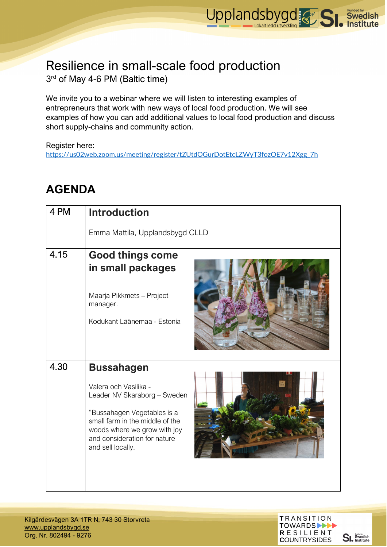

## Resilience in small-scale food production 3rd of May 4-6 PM (Baltic time)

We invite you to a webinar where we will listen to interesting examples of entrepreneurs that work with new ways of local food production. We will see examples of how you can add additional values to local food production and discuss short supply-chains and community action.

Register here:

[https://us02web.zoom.us/meeting/register/tZUtdOGurDotEtcLZWyT3fozOE7v12Xgg\\_7h](https://us02web.zoom.us/meeting/register/tZUtdOGurDotEtcLZWyT3fozOE7v12Xgg_7h)

## **AGENDA**

| 4 PM | <b>Introduction</b>                                                                                                                                                                                                               |  |
|------|-----------------------------------------------------------------------------------------------------------------------------------------------------------------------------------------------------------------------------------|--|
|      | Emma Mattila, Upplandsbygd CLLD                                                                                                                                                                                                   |  |
| 4.15 | <b>Good things come</b><br>in small packages<br>Maarja Pikkmets - Project<br>manager.<br>Kodukant Läänemaa - Estonia                                                                                                              |  |
| 4.30 | <b>Bussahagen</b><br>Valera och Vasilika -<br>Leader NV Skaraborg - Sweden<br>"Bussahagen Vegetables is a<br>small farm in the middle of the<br>woods where we grow with joy<br>and consideration for nature<br>and sell locally. |  |